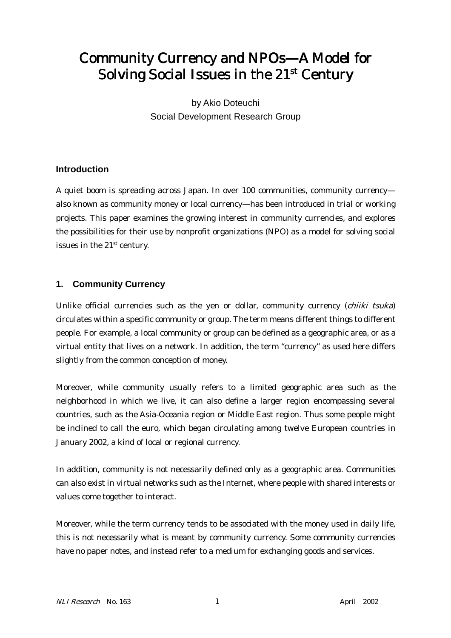# Community Currency and NPOs—A Model for Solving Social Issues in the  $21<sup>st</sup>$  Century

by Akio Doteuchi Social Development Research Group

# **Introduction**

A quiet boom is spreading across Japan. In over 100 communities, community currency also known as community money or local currency—has been introduced in trial or working projects. This paper examines the growing interest in community currencies, and explores the possibilities for their use by nonprofit organizations (NPO) as a model for solving social issues in the 21st century.

# **1. Community Currency**

Unlike official currencies such as the yen or dollar, community currency (chiiki tsuka) circulates within a specific community or group. The term means different things to different people. For example, a local community or group can be defined as a geographic area, or as a virtual entity that lives on a network. In addition, the term "currency" as used here differs slightly from the common conception of money.

Moreover, while community usually refers to a limited geographic area such as the neighborhood in which we live, it can also define a larger region encompassing several countries, such as the Asia-Oceania region or Middle East region. Thus some people might be inclined to call the euro, which began circulating among twelve European countries in January 2002, a kind of local or regional currency.

In addition, community is not necessarily defined only as a geographic area. Communities can also exist in virtual networks such as the Internet, where people with shared interests or values come together to interact.

Moreover, while the term currency tends to be associated with the money used in daily life, this is not necessarily what is meant by community currency. Some community currencies have no paper notes, and instead refer to a medium for exchanging goods and services.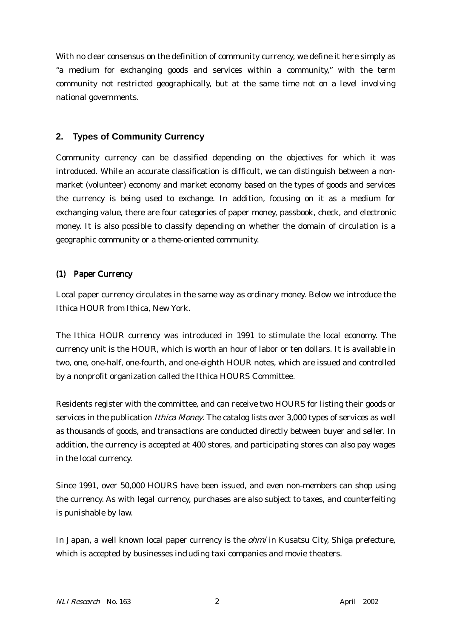With no clear consensus on the definition of community currency, we define it here simply as "a medium for exchanging goods and services within a community," with the term community not restricted geographically, but at the same time not on a level involving national governments.

## **2. Types of Community Currency**

Community currency can be classified depending on the objectives for which it was introduced. While an accurate classification is difficult, we can distinguish between a nonmarket (volunteer) economy and market economy based on the types of goods and services the currency is being used to exchange. In addition, focusing on it as a medium for exchanging value, there are four categories of paper money, passbook, check, and electronic money. It is also possible to classify depending on whether the domain of circulation is a geographic community or a theme-oriented community.

## (1) Paper Currency

Local paper currency circulates in the same way as ordinary money. Below we introduce the Ithica HOUR from Ithica, New York.

The Ithica HOUR currency was introduced in 1991 to stimulate the local economy. The currency unit is the HOUR, which is worth an hour of labor or ten dollars. It is available in two, one, one-half, one-fourth, and one-eighth HOUR notes, which are issued and controlled by a nonprofit organization called the Ithica HOURS Committee.

Residents register with the committee, and can receive two HOURS for listing their goods or services in the publication *Ithica Money*. The catalog lists over 3,000 types of services as well as thousands of goods, and transactions are conducted directly between buyer and seller. In addition, the currency is accepted at 400 stores, and participating stores can also pay wages in the local currency.

Since 1991, over 50,000 HOURS have been issued, and even non-members can shop using the currency. As with legal currency, purchases are also subject to taxes, and counterfeiting is punishable by law.

In Japan, a well known local paper currency is the *ohmi* in Kusatsu City, Shiga prefecture, which is accepted by businesses including taxi companies and movie theaters.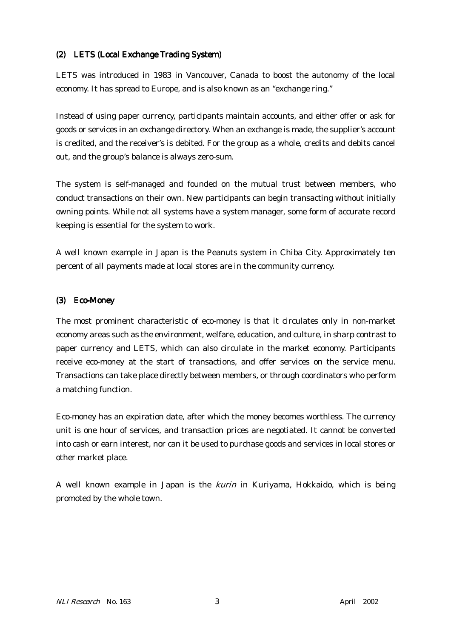#### (2) LETS (Local Exchange Trading System) (2) LETS (Local Exchange Trading System)

LETS was introduced in 1983 in Vancouver, Canada to boost the autonomy of the local economy. It has spread to Europe, and is also known as an "exchange ring."

Instead of using paper currency, participants maintain accounts, and either offer or ask for goods or services in an exchange directory. When an exchange is made, the supplier's account is credited, and the receiver's is debited. For the group as a whole, credits and debits cancel out, and the group's balance is always zero-sum.

The system is self-managed and founded on the mutual trust between members, who conduct transactions on their own. New participants can begin transacting without initially owning points. While not all systems have a system manager, some form of accurate record keeping is essential for the system to work.

A well known example in Japan is the Peanuts system in Chiba City. Approximately ten percent of all payments made at local stores are in the community currency.

#### (3) Eco-Money

The most prominent characteristic of eco-money is that it circulates only in non-market economy areas such as the environment, welfare, education, and culture, in sharp contrast to paper currency and LETS, which can also circulate in the market economy. Participants receive eco-money at the start of transactions, and offer services on the service menu. Transactions can take place directly between members, or through coordinators who perform a matching function.

Eco-money has an expiration date, after which the money becomes worthless. The currency unit is one hour of services, and transaction prices are negotiated. It cannot be converted into cash or earn interest, nor can it be used to purchase goods and services in local stores or other market place.

A well known example in Japan is the kurin in Kuriyama, Hokkaido, which is being promoted by the whole town.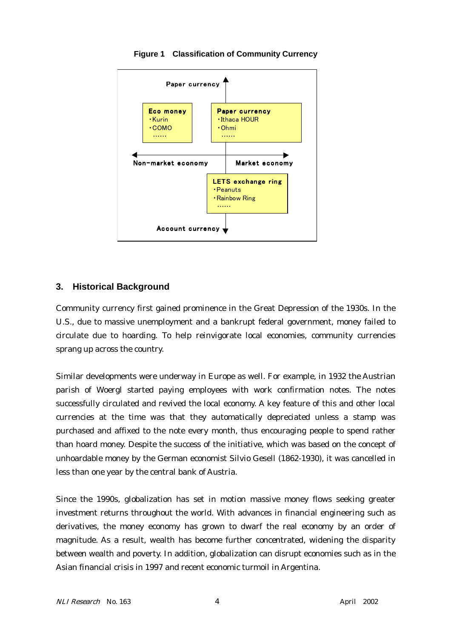

**Figure 1 Classification of Community Currency**

# **3. Historical Background**

Community currency first gained prominence in the Great Depression of the 1930s. In the U.S., due to massive unemployment and a bankrupt federal government, money failed to circulate due to hoarding. To help reinvigorate local economies, community currencies sprang up across the country.

Similar developments were underway in Europe as well. For example, in 1932 the Austrian parish of Woergl started paying employees with work confirmation notes. The notes successfully circulated and revived the local economy. A key feature of this and other local currencies at the time was that they automatically depreciated unless a stamp was purchased and affixed to the note every month, thus encouraging people to spend rather than hoard money. Despite the success of the initiative, which was based on the concept of unhoardable money by the German economist Silvio Gesell (1862-1930), it was cancelled in less than one year by the central bank of Austria.

Since the 1990s, globalization has set in motion massive money flows seeking greater investment returns throughout the world. With advances in financial engineering such as derivatives, the money economy has grown to dwarf the real economy by an order of magnitude. As a result, wealth has become further concentrated, widening the disparity between wealth and poverty. In addition, globalization can disrupt economies such as in the Asian financial crisis in 1997 and recent economic turmoil in Argentina.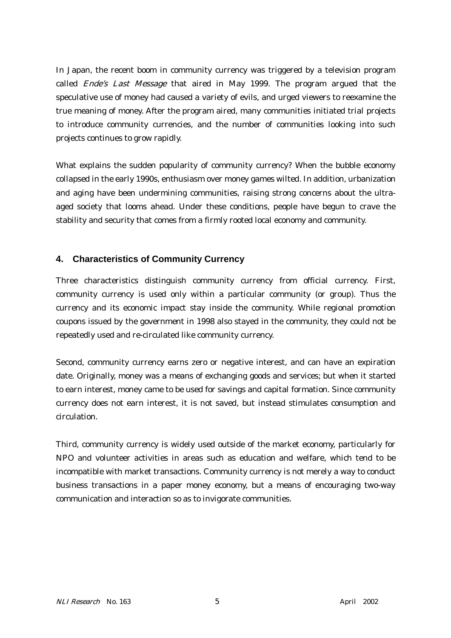In Japan, the recent boom in community currency was triggered by a television program called Ende's Last Message that aired in May 1999. The program argued that the speculative use of money had caused a variety of evils, and urged viewers to reexamine the true meaning of money. After the program aired, many communities initiated trial projects to introduce community currencies, and the number of communities looking into such projects continues to grow rapidly.

What explains the sudden popularity of community currency? When the bubble economy collapsed in the early 1990s, enthusiasm over money games wilted. In addition, urbanization and aging have been undermining communities, raising strong concerns about the ultraaged society that looms ahead. Under these conditions, people have begun to crave the stability and security that comes from a firmly rooted local economy and community.

# **4. Characteristics of Community Currency**

Three characteristics distinguish community currency from official currency. First, community currency is used only within a particular community (or group). Thus the currency and its economic impact stay inside the community. While regional promotion coupons issued by the government in 1998 also stayed in the community, they could not be repeatedly used and re-circulated like community currency.

Second, community currency earns zero or negative interest, and can have an expiration date. Originally, money was a means of exchanging goods and services; but when it started to earn interest, money came to be used for savings and capital formation. Since community currency does not earn interest, it is not saved, but instead stimulates consumption and circulation.

Third, community currency is widely used outside of the market economy, particularly for NPO and volunteer activities in areas such as education and welfare, which tend to be incompatible with market transactions. Community currency is not merely a way to conduct business transactions in a paper money economy, but a means of encouraging two-way communication and interaction so as to invigorate communities.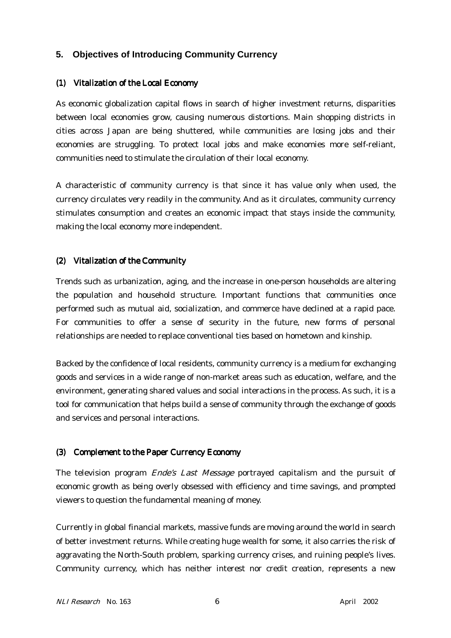## **5. Objectives of Introducing Community Currency**

#### (1) Vitalization of the Local Economy

As economic globalization capital flows in search of higher investment returns, disparities between local economies grow, causing numerous distortions. Main shopping districts in cities across Japan are being shuttered, while communities are losing jobs and their economies are struggling. To protect local jobs and make economies more self-reliant, communities need to stimulate the circulation of their local economy.

A characteristic of community currency is that since it has value only when used, the currency circulates very readily in the community. And as it circulates, community currency stimulates consumption and creates an economic impact that stays inside the community, making the local economy more independent.

#### (2) Vitalization of the Community

Trends such as urbanization, aging, and the increase in one-person households are altering the population and household structure. Important functions that communities once performed such as mutual aid, socialization, and commerce have declined at a rapid pace. For communities to offer a sense of security in the future, new forms of personal relationships are needed to replace conventional ties based on hometown and kinship.

Backed by the confidence of local residents, community currency is a medium for exchanging goods and services in a wide range of non-market areas such as education, welfare, and the environment, generating shared values and social interactions in the process. As such, it is a tool for communication that helps build a sense of community through the exchange of goods and services and personal interactions.

#### (3) Complement to the Paper Currency Economy (3) Complement to the Paper Currency Economy

The television program *Ende's Last Message* portrayed capitalism and the pursuit of economic growth as being overly obsessed with efficiency and time savings, and prompted viewers to question the fundamental meaning of money.

Currently in global financial markets, massive funds are moving around the world in search of better investment returns. While creating huge wealth for some, it also carries the risk of aggravating the North-South problem, sparking currency crises, and ruining people's lives. Community currency, which has neither interest nor credit creation, represents a new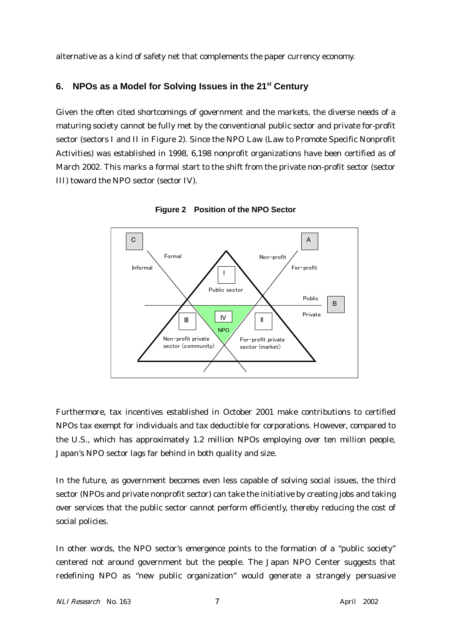alternative as a kind of safety net that complements the paper currency economy.

## **6. NPOs as a Model for Solving Issues in the 21st Century**

Given the often cited shortcomings of government and the markets, the diverse needs of a maturing society cannot be fully met by the conventional public sector and private for-profit sector (sectors I and II in Figure 2). Since the NPO Law (Law to Promote Specific Nonprofit Activities) was established in 1998, 6,198 nonprofit organizations have been certified as of March 2002. This marks a formal start to the shift from the private non-profit sector (sector III) toward the NPO sector (sector IV).



**Figure 2 Position of the NPO Sector**

Furthermore, tax incentives established in October 2001 make contributions to certified NPOs tax exempt for individuals and tax deductible for corporations. However, compared to the U.S., which has approximately 1.2 million NPOs employing over ten million people, Japan's NPO sector lags far behind in both quality and size.

In the future, as government becomes even less capable of solving social issues, the third sector (NPOs and private nonprofit sector) can take the initiative by creating jobs and taking over services that the public sector cannot perform efficiently, thereby reducing the cost of social policies.

In other words, the NPO sector's emergence points to the formation of a "public society" centered not around government but the people. The Japan NPO Center suggests that redefining NPO as "new public organization" would generate a strangely persuasive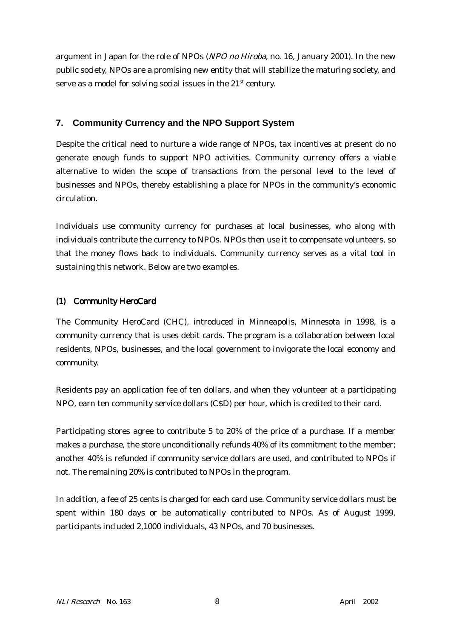argument in Japan for the role of NPOs (NPO no Hiroba, no. 16, January 2001). In the new public society, NPOs are a promising new entity that will stabilize the maturing society, and serve as a model for solving social issues in the  $21<sup>st</sup>$  century.

# **7. Community Currency and the NPO Support System**

Despite the critical need to nurture a wide range of NPOs, tax incentives at present do no generate enough funds to support NPO activities. Community currency offers a viable alternative to widen the scope of transactions from the personal level to the level of businesses and NPOs, thereby establishing a place for NPOs in the community's economic circulation.

Individuals use community currency for purchases at local businesses, who along with individuals contribute the currency to NPOs. NPOs then use it to compensate volunteers, so that the money flows back to individuals. Community currency serves as a vital tool in sustaining this network. Below are two examples.

## (1) Community HeroCard

The Community HeroCard (CHC), introduced in Minneapolis, Minnesota in 1998, is a community currency that is uses debit cards. The program is a collaboration between local residents, NPOs, businesses, and the local government to invigorate the local economy and community.

Residents pay an application fee of ten dollars, and when they volunteer at a participating NPO, earn ten community service dollars (C\$D) per hour, which is credited to their card.

Participating stores agree to contribute 5 to 20% of the price of a purchase. If a member makes a purchase, the store unconditionally refunds 40% of its commitment to the member; another 40% is refunded if community service dollars are used, and contributed to NPOs if not. The remaining 20% is contributed to NPOs in the program.

In addition, a fee of 25 cents is charged for each card use. Community service dollars must be spent within 180 days or be automatically contributed to NPOs. As of August 1999, participants included 2,1000 individuals, 43 NPOs, and 70 businesses.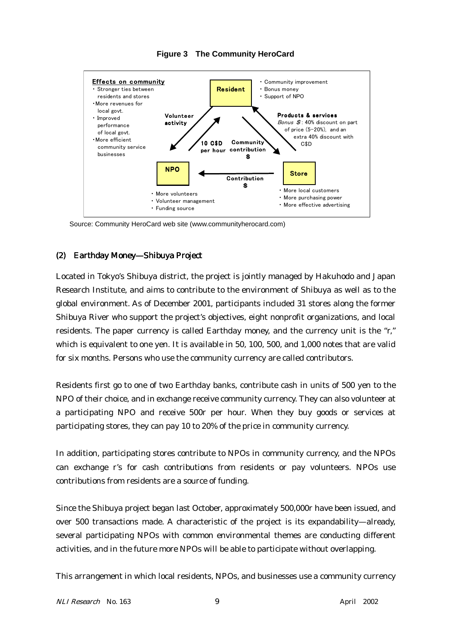

**Figure 3 The Community HeroCard**

Source: Community HeroCard web site (www.communityherocard.com)

#### (2) Earthday Money—Shibuya Project

Located in Tokyo's Shibuya district, the project is jointly managed by Hakuhodo and Japan Research Institute, and aims to contribute to the environment of Shibuya as well as to the global environment. As of December 2001, participants included 31 stores along the former Shibuya River who support the project's objectives, eight nonprofit organizations, and local residents. The paper currency is called Earthday money, and the currency unit is the "r," which is equivalent to one yen. It is available in 50, 100, 500, and 1,000 notes that are valid for six months. Persons who use the community currency are called contributors.

Residents first go to one of two Earthday banks, contribute cash in units of 500 yen to the NPO of their choice, and in exchange receive community currency. They can also volunteer at a participating NPO and receive 500r per hour. When they buy goods or services at participating stores, they can pay 10 to 20% of the price in community currency.

In addition, participating stores contribute to NPOs in community currency, and the NPOs can exchange r's for cash contributions from residents or pay volunteers. NPOs use contributions from residents are a source of funding.

Since the Shibuya project began last October, approximately 500,000r have been issued, and over 500 transactions made. A characteristic of the project is its expandability—already, several participating NPOs with common environmental themes are conducting different activities, and in the future more NPOs will be able to participate without overlapping.

This arrangement in which local residents, NPOs, and businesses use a community currency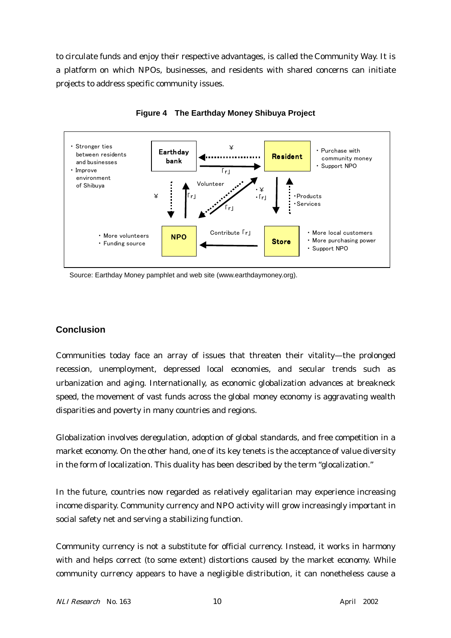to circulate funds and enjoy their respective advantages, is called the Community Way. It is a platform on which NPOs, businesses, and residents with shared concerns can initiate projects to address specific community issues.



**Figure 4 The Earthday Money Shibuya Project**

Source: Earthday Money pamphlet and web site (www.earthdaymoney.org).

## **Conclusion**

Communities today face an array of issues that threaten their vitality—the prolonged recession, unemployment, depressed local economies, and secular trends such as urbanization and aging. Internationally, as economic globalization advances at breakneck speed, the movement of vast funds across the global money economy is aggravating wealth disparities and poverty in many countries and regions.

Globalization involves deregulation, adoption of global standards, and free competition in a market economy. On the other hand, one of its key tenets is the acceptance of value diversity in the form of localization. This duality has been described by the term "glocalization."

In the future, countries now regarded as relatively egalitarian may experience increasing income disparity. Community currency and NPO activity will grow increasingly important in social safety net and serving a stabilizing function.

Community currency is not a substitute for official currency. Instead, it works in harmony with and helps correct (to some extent) distortions caused by the market economy. While community currency appears to have a negligible distribution, it can nonetheless cause a